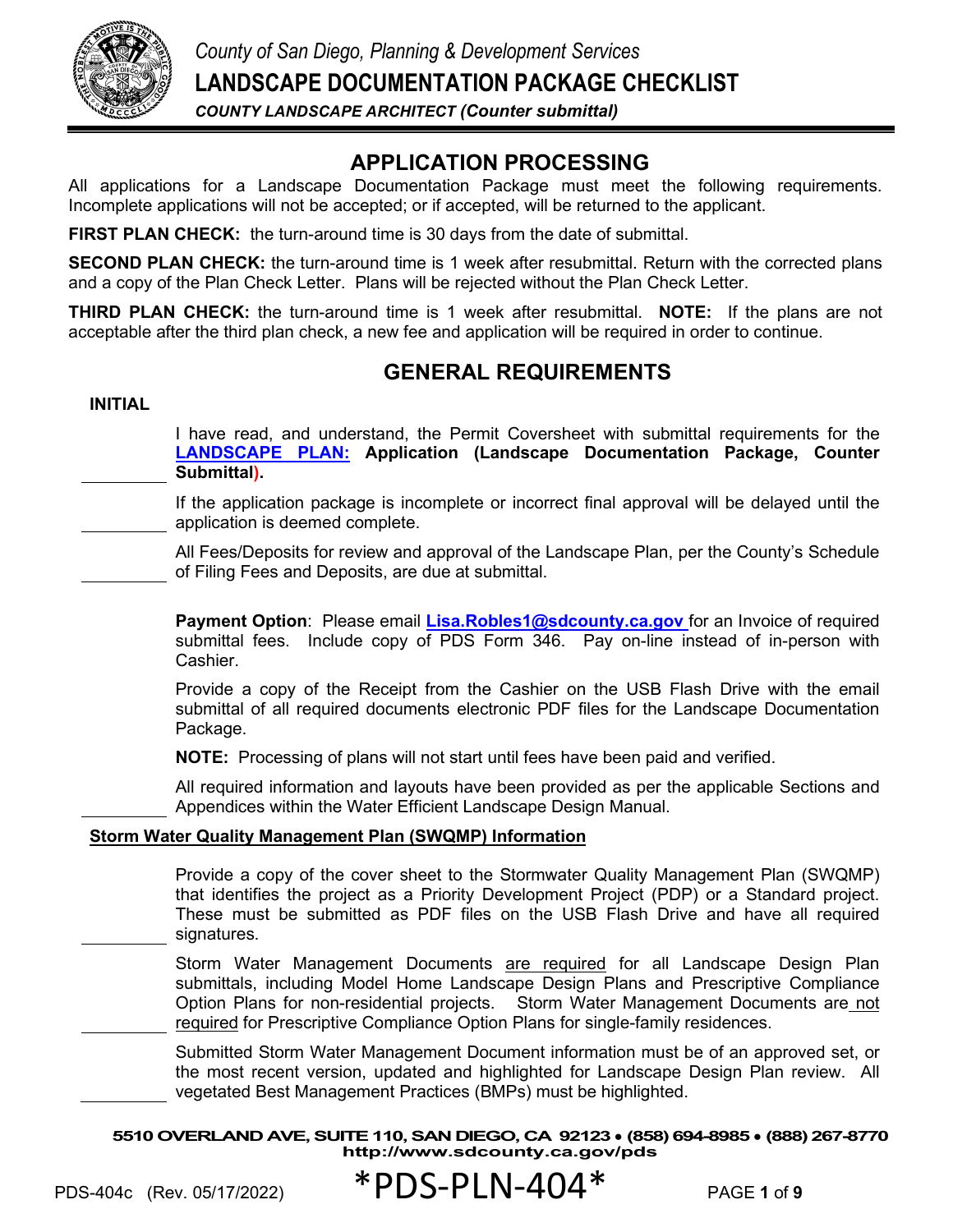

# **APPLICATION PROCESSING**

All applications for a Landscape Documentation Package must meet the following requirements. Incomplete applications will not be accepted; or if accepted, will be returned to the applicant.

**FIRST PLAN CHECK:** the turn-around time is 30 days from the date of submittal.

**SECOND PLAN CHECK:** the turn-around time is 1 week after resubmittal. Return with the corrected plans and a copy of the Plan Check Letter. Plans will be rejected without the Plan Check Letter.

**THIRD PLAN CHECK:** the turn-around time is 1 week after resubmittal. **NOTE:** If the plans are not acceptable after the third plan check, a new fee and application will be required in order to continue.

### **GENERAL REQUIREMENTS**

#### **INITIAL**

I have read, and understand, the Permit Coversheet with submittal requirements for the **[LANDSCAPE PLAN:](https://www.sandiegocounty.gov/content/dam/sdc/pds/zoning/formfields/PDS-PLN-ESUB_LP_Application_c.pdf) Application (Landscape Documentation Package, Counter Submittal).**

If the application package is incomplete or incorrect final approval will be delayed until the application is deemed complete.

All Fees/Deposits for review and approval of the Landscape Plan, per the County's Schedule of Filing Fees and Deposits, are due at submittal.

Payment Option: Please email **[Lisa.Robles1@sdcounty.ca.gov](mailto:Lisa.Robles1@sdcounty.ca.gov)** for an Invoice of required submittal fees. Include copy of PDS Form 346. Pay on-line instead of in-person with Cashier.

Provide a copy of the Receipt from the Cashier on the USB Flash Drive with the email submittal of all required documents electronic PDF files for the Landscape Documentation Package.

**NOTE:** Processing of plans will not start until fees have been paid and verified.

All required information and layouts have been provided as per the applicable Sections and Appendices within the Water Efficient Landscape Design Manual.

#### **Storm Water Quality Management Plan (SWQMP) Information**

Provide a copy of the cover sheet to the Stormwater Quality Management Plan (SWQMP) that identifies the project as a Priority Development Project (PDP) or a Standard project. These must be submitted as PDF files on the USB Flash Drive and have all required signatures.

Storm Water Management Documents are required for all Landscape Design Plan submittals, including Model Home Landscape Design Plans and Prescriptive Compliance Option Plans for non-residential projects. Storm Water Management Documents are not required for Prescriptive Compliance Option Plans for single-family residences.

Submitted Storm Water Management Document information must be of an approved set, or the most recent version, updated and highlighted for Landscape Design Plan review. All vegetated Best Management Practices (BMPs) must be highlighted.

**5510 OVERLAND AVE, SUITE 110, SAN DIEGO, CA 92123** ● **(858) 694-8985** ● **(888) 267-8770 <http://www.sdcounty.ca.gov/pds>**

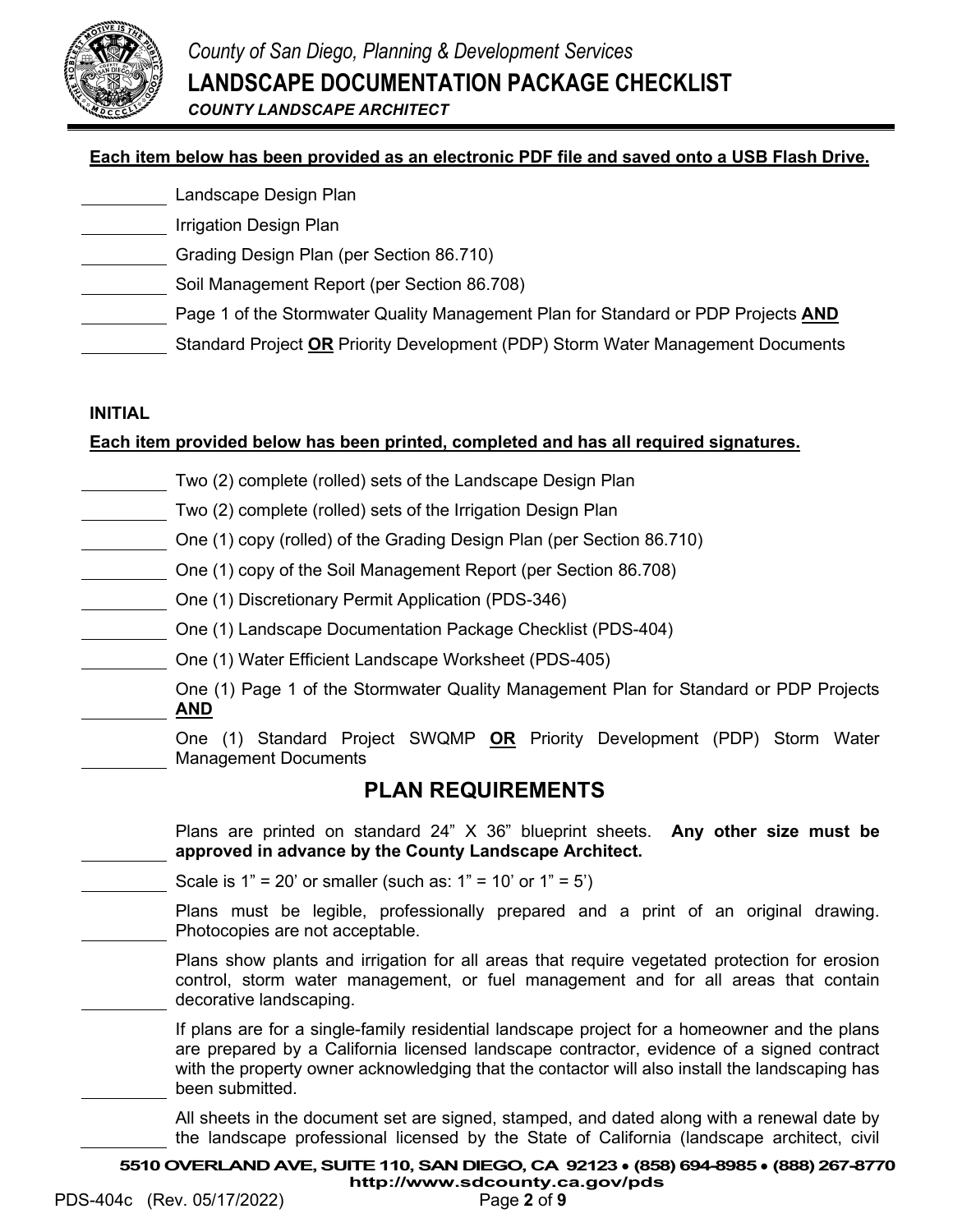

### **Each item below has been provided as an electronic PDF file and saved onto a USB Flash Drive.**

- Landscape Design Plan
- Irrigation Design Plan
- Grading Design Plan (per Section 86.710)
- Soil Management Report (per Section 86.708)
	- Page 1 of the Stormwater Quality Management Plan for Standard or PDP Projects **AND**
		- Standard Project **OR** Priority Development (PDP) Storm Water Management Documents

### **INITIAL**

### **Each item provided below has been printed, completed and has all required signatures.**

- Two (2) complete (rolled) sets of the Landscape Design Plan
- Two (2) complete (rolled) sets of the Irrigation Design Plan
- One (1) copy (rolled) of the Grading Design Plan (per Section 86.710)
- One (1) copy of the Soil Management Report (per Section 86.708)
	- One (1) Discretionary Permit Application (PDS-346)
	- One (1) Landscape Documentation Package Checklist (PDS-404)
	- One (1) Water Efficient Landscape Worksheet (PDS-405)
		- One (1) Page 1 of the Stormwater Quality Management Plan for Standard or PDP Projects **AND**
			- One (1) Standard Project SWQMP **OR** Priority Development (PDP) Storm Water Management Documents

### **PLAN REQUIREMENTS**

Plans are printed on standard 24" X 36" blueprint sheets. **Any other size must be approved in advance by the County Landscape Architect.**

Scale is  $1" = 20'$  or smaller (such as:  $1" = 10'$  or  $1" = 5'$ )

Plans must be legible, professionally prepared and a print of an original drawing. Photocopies are not acceptable.

Plans show plants and irrigation for all areas that require vegetated protection for erosion control, storm water management, or fuel management and for all areas that contain decorative landscaping.

If plans are for a single-family residential landscape project for a homeowner and the plans are prepared by a California licensed landscape contractor, evidence of a signed contract with the property owner acknowledging that the contactor will also install the landscaping has been submitted.

All sheets in the document set are signed, stamped, and dated along with a renewal date by the landscape professional licensed by the State of California (landscape architect, civil

**5510 OVERLAND AVE, SUITE 110, SAN DIEGO, CA 92123** ● **(858) 694-8985** ● **(888) 267-8770**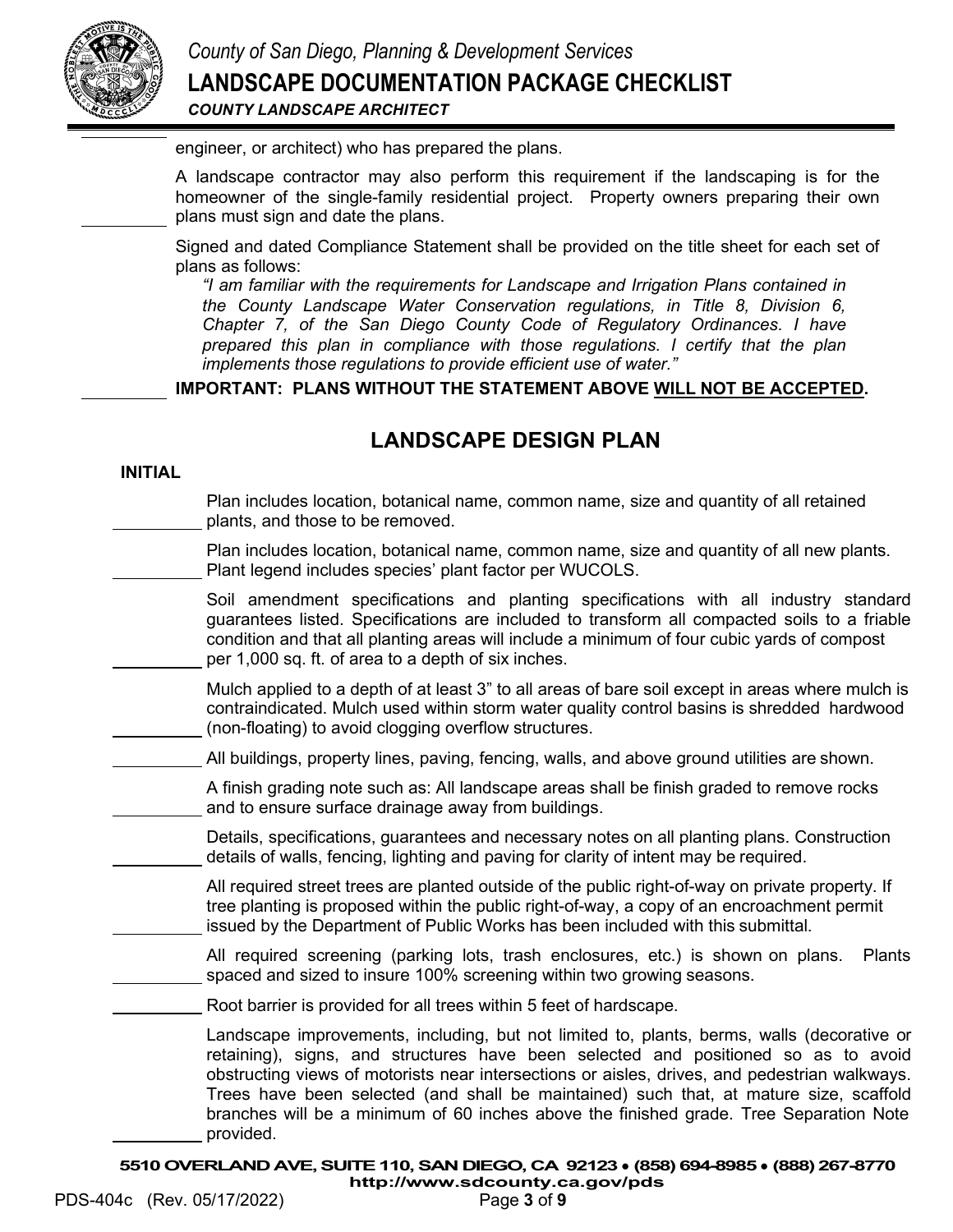

engineer, or architect) who has prepared the plans.

A landscape contractor may also perform this requirement if the landscaping is for the homeowner of the single-family residential project. Property owners preparing their own plans must sign and date the plans.

Signed and dated Compliance Statement shall be provided on the title sheet for each set of plans as follows:

*"I am familiar with the requirements for Landscape and Irrigation Plans contained in the County Landscape Water Conservation regulations, in Title 8, Division 6, Chapter 7, of the San Diego County Code of Regulatory Ordinances. I have prepared this plan in compliance with those regulations. I certify that the plan implements those regulations to provide efficient use of water."*

**IMPORTANT: PLANS WITHOUT THE STATEMENT ABOVE WILL NOT BE ACCEPTED.**

# **LANDSCAPE DESIGN PLAN**

#### **INITIAL**

Plan includes location, botanical name, common name, size and quantity of all retained plants, and those to be removed.

Plan includes location, botanical name, common name, size and quantity of all new plants. Plant legend includes species' plant factor per WUCOLS.

Soil amendment specifications and planting specifications with all industry standard guarantees listed. Specifications are included to transform all compacted soils to a friable condition and that all planting areas will include a minimum of four cubic yards of compost per 1,000 sq. ft. of area to a depth of six inches.

Mulch applied to a depth of at least 3" to all areas of bare soil except in areas where mulch is contraindicated. Mulch used within storm water quality control basins is shredded hardwood (non-floating) to avoid clogging overflow structures.

All buildings, property lines, paving, fencing, walls, and above ground utilities are shown.

A finish grading note such as: All landscape areas shall be finish graded to remove rocks and to ensure surface drainage away from buildings.

Details, specifications, guarantees and necessary notes on all planting plans. Construction details of walls, fencing, lighting and paving for clarity of intent may be required.

All required street trees are planted outside of the public right-of-way on private property. If tree planting is proposed within the public right-of-way, a copy of an encroachment permit issued by the Department of Public Works has been included with this submittal.

All required screening (parking lots, trash enclosures, etc.) is shown on plans. Plants spaced and sized to insure 100% screening within two growing seasons.

Root barrier is provided for all trees within 5 feet of hardscape.

Landscape improvements, including, but not limited to, plants, berms, walls (decorative or retaining), signs, and structures have been selected and positioned so as to avoid obstructing views of motorists near intersections or aisles, drives, and pedestrian walkways. Trees have been selected (and shall be maintained) such that, at mature size, scaffold branches will be a minimum of 60 inches above the finished grade. Tree Separation Note provided.

**5510 OVERLAND AVE, SUITE 110, SAN DIEGO, CA 92123** ● **(858) 694-8985** ● **(888) 267-8770 <http://www.sdcounty.ca.gov/pds>**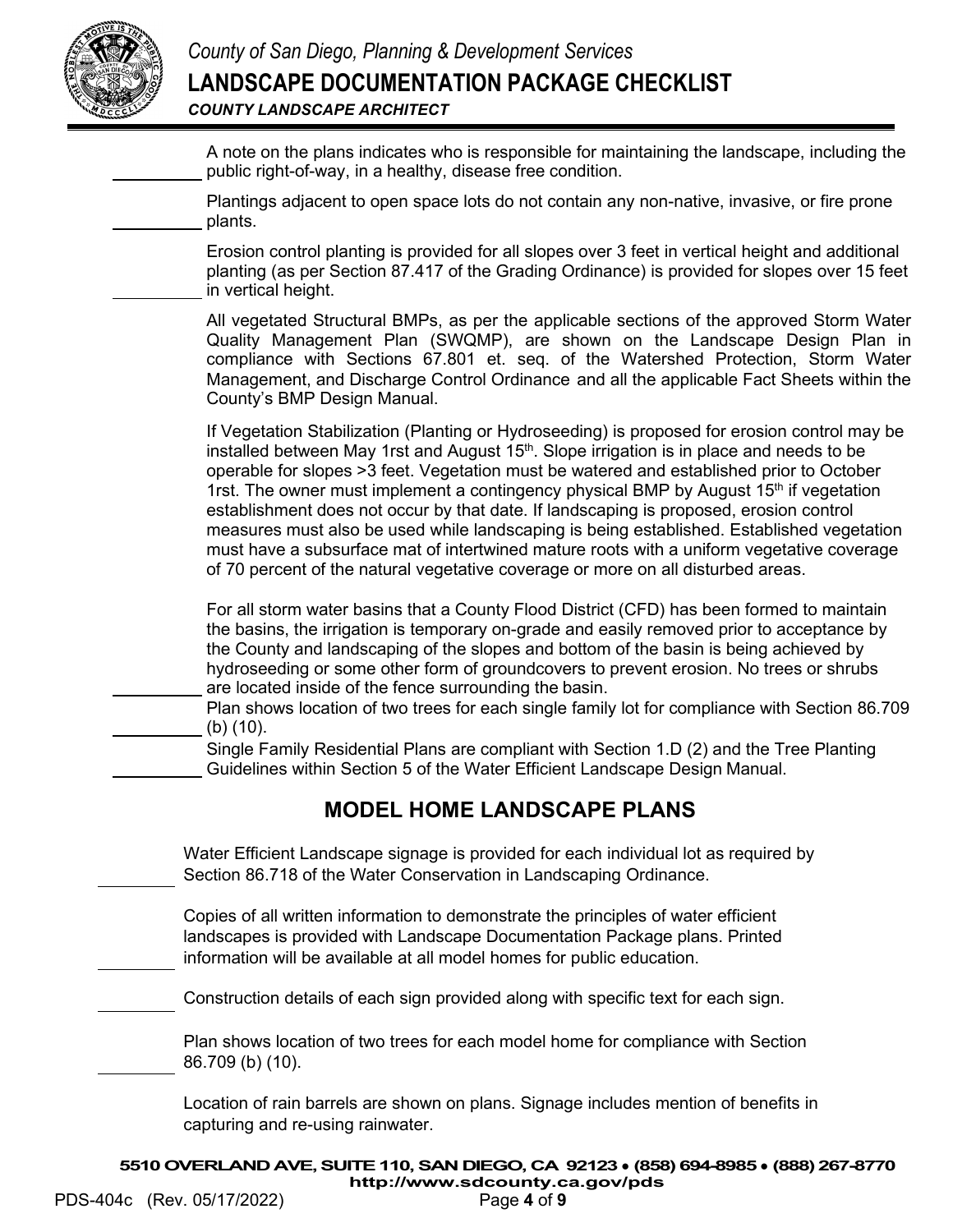

A note on the plans indicates who is responsible for maintaining the landscape, including the public right-of-way, in a healthy, disease free condition.

Plantings adjacent to open space lots do not contain any non-native, invasive, or fire prone plants.

Erosion control planting is provided for all slopes over 3 feet in vertical height and additional planting (as per Section 87.417 of the Grading Ordinance) is provided for slopes over 15 feet in vertical height.

All vegetated Structural BMPs, as per the applicable sections of the approved Storm Water Quality Management Plan (SWQMP), are shown on the Landscape Design Plan in compliance with Sections 67.801 et. seq. of the Watershed Protection, Storm Water Management, and Discharge Control Ordinance and all the applicable Fact Sheets within the County's BMP Design Manual.

If Vegetation Stabilization (Planting or Hydroseeding) is proposed for erosion control may be installed between May 1rst and August  $15<sup>th</sup>$ . Slope irrigation is in place and needs to be operable for slopes >3 feet. Vegetation must be watered and established prior to October 1rst. The owner must implement a contingency physical BMP by August  $15<sup>th</sup>$  if vegetation establishment does not occur by that date. If landscaping is proposed, erosion control measures must also be used while landscaping is being established. Established vegetation must have a subsurface mat of intertwined mature roots with a uniform vegetative coverage of 70 percent of the natural vegetative coverage or more on all disturbed areas.

For all storm water basins that a County Flood District (CFD) has been formed to maintain the basins, the irrigation is temporary on-grade and easily removed prior to acceptance by the County and landscaping of the slopes and bottom of the basin is being achieved by hydroseeding or some other form of groundcovers to prevent erosion. No trees or shrubs are located inside of the fence surrounding the basin.

Plan shows location of two trees for each single family lot for compliance with Section 86.709 (b) (10).

Single Family Residential Plans are compliant with Section 1.D (2) and the Tree Planting Guidelines within Section 5 of the Water Efficient Landscape Design Manual.

# **MODEL HOME LANDSCAPE PLANS**

Water Efficient Landscape signage is provided for each individual lot as required by Section 86.718 of the Water Conservation in Landscaping Ordinance.

Copies of all written information to demonstrate the principles of water efficient landscapes is provided with Landscape Documentation Package plans. Printed information will be available at all model homes for public education.

Construction details of each sign provided along with specific text for each sign.

Plan shows location of two trees for each model home for compliance with Section 86.709 (b) (10).

Location of rain barrels are shown on plans. Signage includes mention of benefits in capturing and re-using rainwater.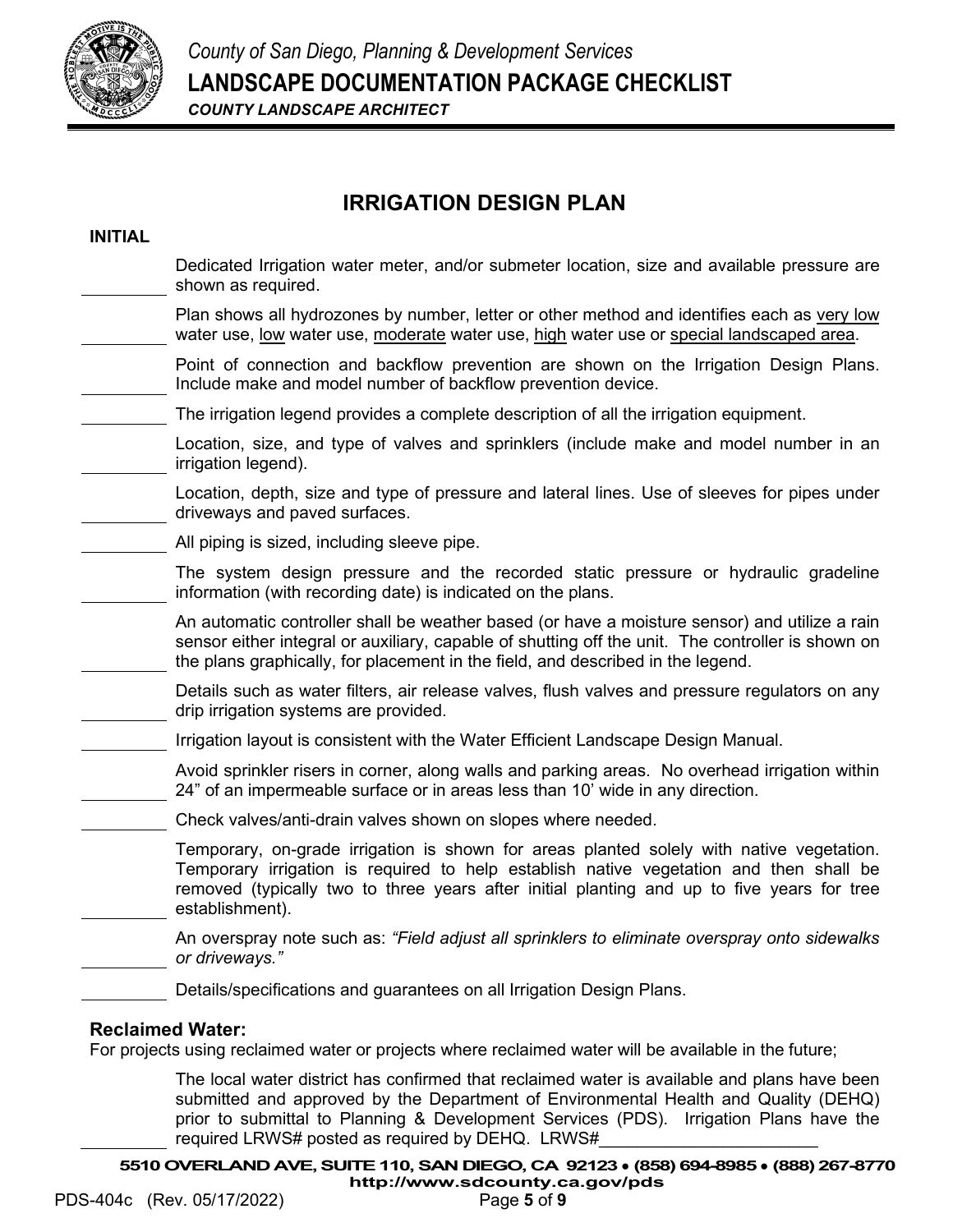

# **IRRIGATION DESIGN PLAN**

### **INITIAL** Dedicated Irrigation water meter, and/or submeter location, size and available pressure are shown as required. Plan shows all hydrozones by number, letter or other method and identifies each as very low water use, low water use, moderate water use, high water use or special landscaped area. Point of connection and backflow prevention are shown on the Irrigation Design Plans. Include make and model number of backflow prevention device. The irrigation legend provides a complete description of all the irrigation equipment. Location, size, and type of valves and sprinklers (include make and model number in an irrigation legend). Location, depth, size and type of pressure and lateral lines. Use of sleeves for pipes under driveways and paved surfaces. All piping is sized, including sleeve pipe. The system design pressure and the recorded static pressure or hydraulic gradeline information (with recording date) is indicated on the plans. An automatic controller shall be weather based (or have a moisture sensor) and utilize a rain sensor either integral or auxiliary, capable of shutting off the unit. The controller is shown on the plans graphically, for placement in the field, and described in the legend. Details such as water filters, air release valves, flush valves and pressure regulators on any drip irrigation systems are provided. Irrigation layout is consistent with the Water Efficient Landscape Design Manual. Avoid sprinkler risers in corner, along walls and parking areas. No overhead irrigation within 24" of an impermeable surface or in areas less than 10' wide in any direction. Check valves/anti-drain valves shown on slopes where needed. Temporary, on-grade irrigation is shown for areas planted solely with native vegetation. Temporary irrigation is required to help establish native vegetation and then shall be removed (typically two to three years after initial planting and up to five years for tree establishment). An overspray note such as: *"Field adjust all sprinklers to eliminate overspray onto sidewalks or driveways."* Details/specifications and guarantees on all Irrigation Design Plans. **Reclaimed Water:**

For projects using reclaimed water or projects where reclaimed water will be available in the future;

The local water district has confirmed that reclaimed water is available and plans have been submitted and approved by the Department of Environmental Health and Quality (DEHQ) prior to submittal to Planning & Development Services (PDS). Irrigation Plans have the required LRWS# posted as required by DEHQ. LRWS#

**5510 OVERLAND AVE, SUITE 110, SAN DIEGO, CA 92123** ● **(858) 694-8985** ● **(888) 267-8770 <http://www.sdcounty.ca.gov/pds>**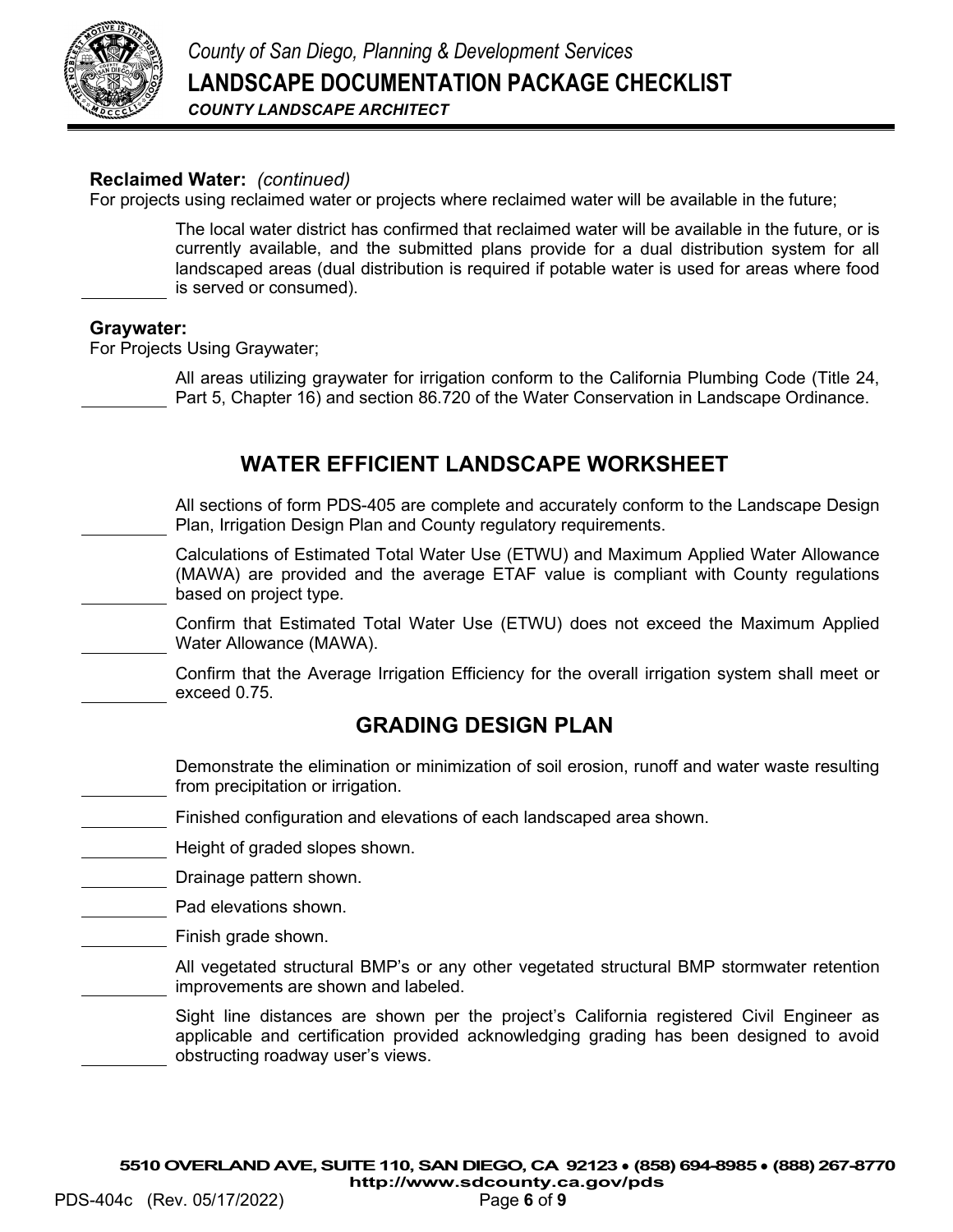

### **Reclaimed Water:** *(continued)*

For projects using reclaimed water or projects where reclaimed water will be available in the future;

The local water district has confirmed that reclaimed water will be available in the future, or is currently available, and the submitted plans provide for a dual distribution system for all landscaped areas (dual distribution is required if potable water is used for areas where food is served or consumed).

#### **Graywater:**

For Projects Using Graywater;

All areas utilizing graywater for irrigation conform to the California Plumbing Code (Title 24, Part 5, Chapter 16) and section 86.720 of the Water Conservation in Landscape Ordinance.

### **WATER EFFICIENT LANDSCAPE WORKSHEET**

All sections of form PDS-405 are complete and accurately conform to the Landscape Design Plan, Irrigation Design Plan and County regulatory requirements.

Calculations of Estimated Total Water Use (ETWU) and Maximum Applied Water Allowance (MAWA) are provided and the average ETAF value is compliant with County regulations based on project type.

Confirm that Estimated Total Water Use (ETWU) does not exceed the Maximum Applied Water Allowance (MAWA).

Confirm that the Average Irrigation Efficiency for the overall irrigation system shall meet or exceed 0.75.

### **GRADING DESIGN PLAN**

Demonstrate the elimination or minimization of soil erosion, runoff and water waste resulting from precipitation or irrigation.

- Finished configuration and elevations of each landscaped area shown.
- Height of graded slopes shown.

Drainage pattern shown.

- Pad elevations shown.
- Finish grade shown.

All vegetated structural BMP's or any other vegetated structural BMP stormwater retention improvements are shown and labeled.

Sight line distances are shown per the project's California registered Civil Engineer as applicable and certification provided acknowledging grading has been designed to avoid obstructing roadway user's views.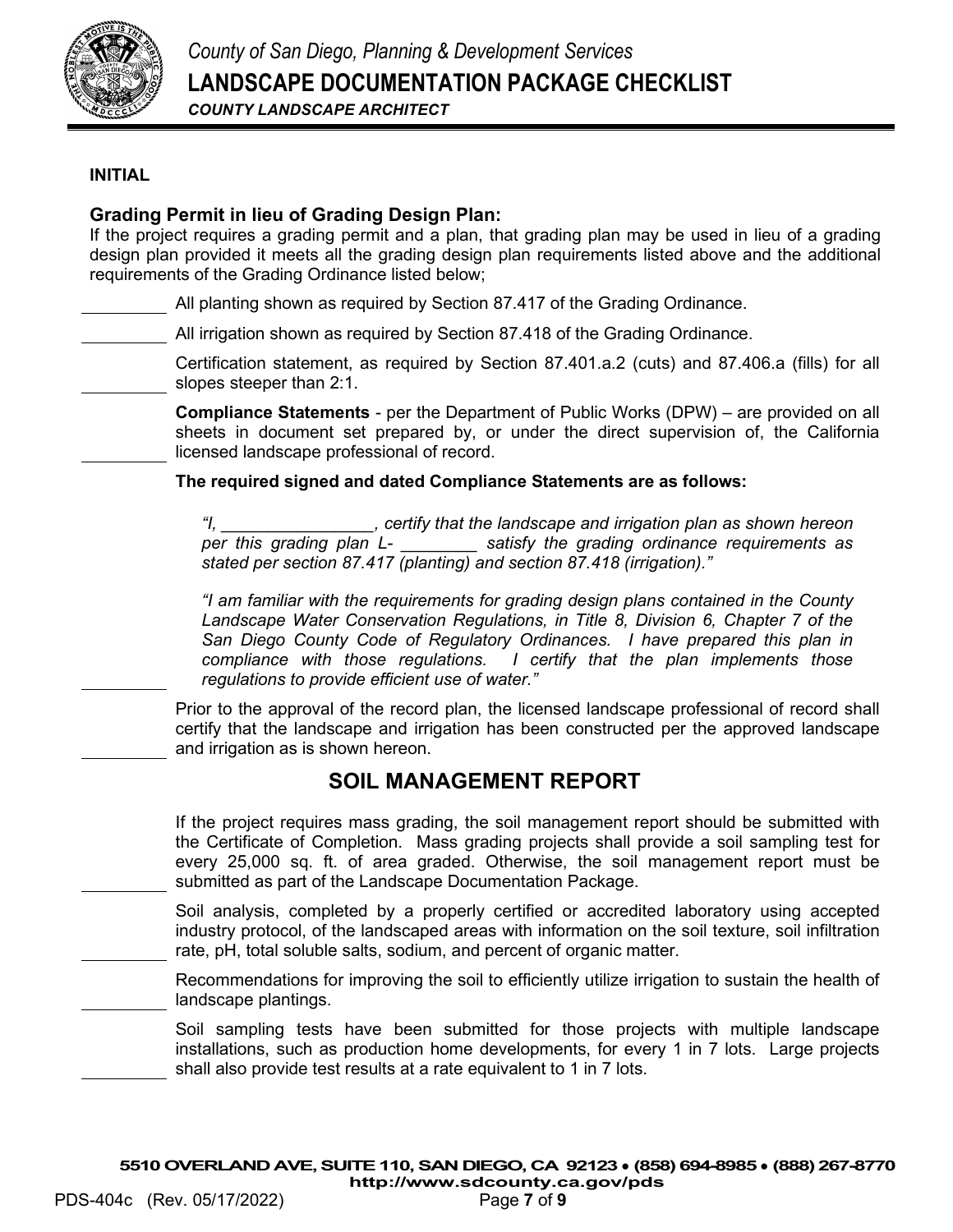

#### **INITIAL**

### **Grading Permit in lieu of Grading Design Plan:**

If the project requires a grading permit and a plan, that grading plan may be used in lieu of a grading design plan provided it meets all the grading design plan requirements listed above and the additional requirements of the Grading Ordinance listed below;

All planting shown as required by Section 87.417 of the Grading Ordinance.

All irrigation shown as required by Section 87.418 of the Grading Ordinance.

Certification statement, as required by Section 87.401.a.2 (cuts) and 87.406.a (fills) for all slopes steeper than 2:1.

**Compliance Statements** - per the Department of Public Works (DPW) – are provided on all sheets in document set prepared by, or under the direct supervision of, the California licensed landscape professional of record.

**The required signed and dated Compliance Statements are as follows:**

*"I, \_\_\_\_\_\_\_\_\_\_\_\_\_\_\_\_, certify that the landscape and irrigation plan as shown hereon per this grading plan L- \_\_\_\_\_\_\_\_ satisfy the grading ordinance requirements as stated per section 87.417 (planting) and section 87.418 (irrigation)."*

*"I am familiar with the requirements for grading design plans contained in the County Landscape Water Conservation Regulations, in Title 8, Division 6, Chapter 7 of the*  San Diego County Code of Regulatory Ordinances. I have prepared this plan in *compliance with those regulations. I certify that the plan implements those regulations to provide efficient use of water."*

Prior to the approval of the record plan, the licensed landscape professional of record shall certify that the landscape and irrigation has been constructed per the approved landscape and irrigation as is shown hereon.

### **SOIL MANAGEMENT REPORT**

If the project requires mass grading, the soil management report should be submitted with the Certificate of Completion. Mass grading projects shall provide a soil sampling test for every 25,000 sq. ft. of area graded. Otherwise, the soil management report must be submitted as part of the Landscape Documentation Package.

Soil analysis, completed by a properly certified or accredited laboratory using accepted industry protocol, of the landscaped areas with information on the soil texture, soil infiltration rate, pH, total soluble salts, sodium, and percent of organic matter.

Recommendations for improving the soil to efficiently utilize irrigation to sustain the health of landscape plantings.

Soil sampling tests have been submitted for those projects with multiple landscape installations, such as production home developments, for every 1 in 7 lots. Large projects shall also provide test results at a rate equivalent to 1 in 7 lots.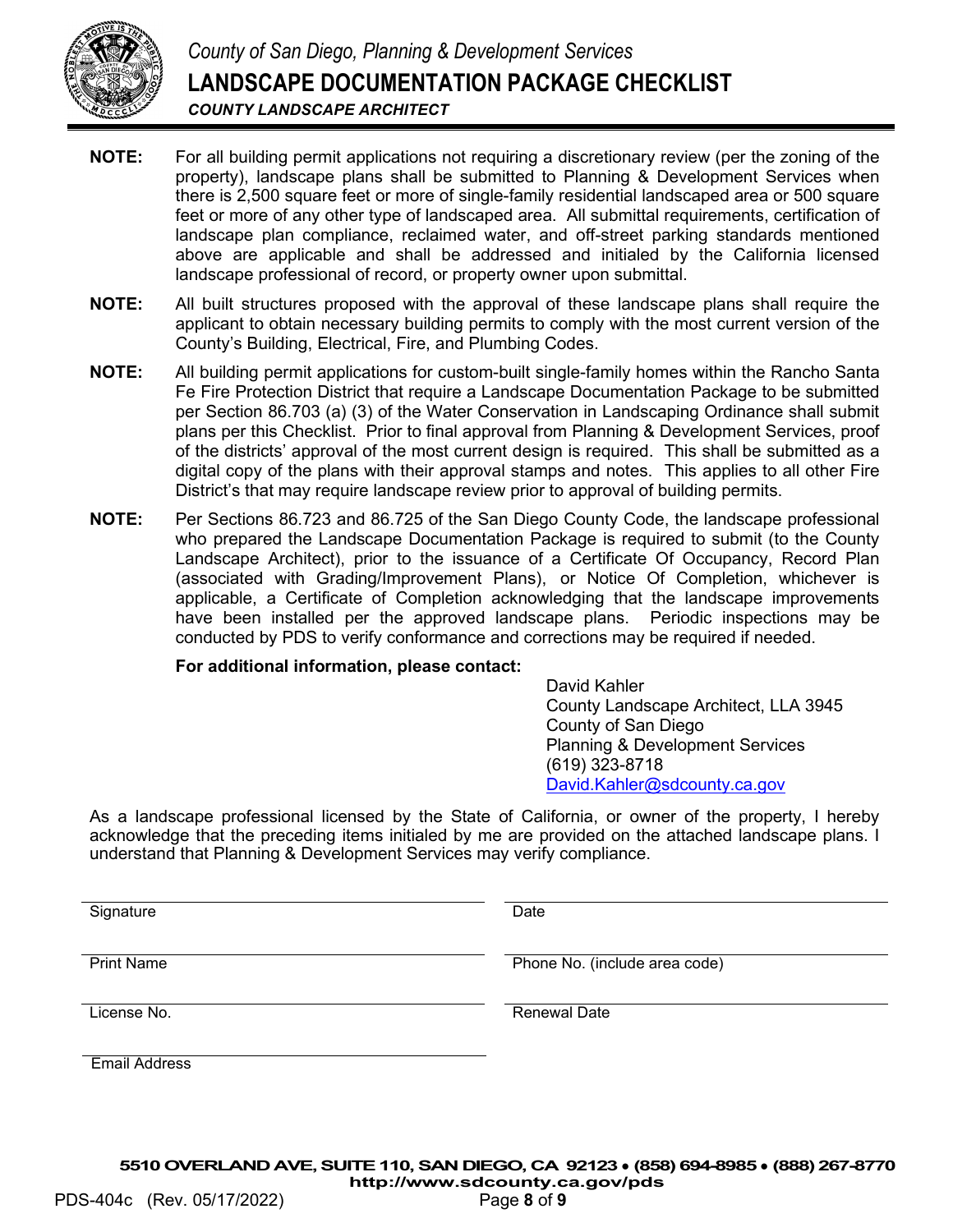

- **NOTE:** For all building permit applications not requiring a discretionary review (per the zoning of the property), landscape plans shall be submitted to Planning & Development Services when there is 2,500 square feet or more of single-family residential landscaped area or 500 square feet or more of any other type of landscaped area. All submittal requirements, certification of landscape plan compliance, reclaimed water, and off-street parking standards mentioned above are applicable and shall be addressed and initialed by the California licensed landscape professional of record, or property owner upon submittal.
- **NOTE:** All built structures proposed with the approval of these landscape plans shall require the applicant to obtain necessary building permits to comply with the most current version of the County's Building, Electrical, Fire, and Plumbing Codes.
- **NOTE:** All building permit applications for custom-built single-family homes within the Rancho Santa Fe Fire Protection District that require a Landscape Documentation Package to be submitted per Section 86.703 (a) (3) of the Water Conservation in Landscaping Ordinance shall submit plans per this Checklist. Prior to final approval from Planning & Development Services, proof of the districts' approval of the most current design is required. This shall be submitted as a digital copy of the plans with their approval stamps and notes. This applies to all other Fire District's that may require landscape review prior to approval of building permits.
- **NOTE:** Per Sections 86.723 and 86.725 of the San Diego County Code, the landscape professional who prepared the Landscape Documentation Package is required to submit (to the County Landscape Architect), prior to the issuance of a Certificate Of Occupancy, Record Plan (associated with Grading/Improvement Plans), or Notice Of Completion, whichever is applicable, a Certificate of Completion acknowledging that the landscape improvements have been installed per the approved landscape plans. Periodic inspections may be conducted by PDS to verify conformance and corrections may be required if needed.

#### **For additional information, please contact:**

David Kahler County Landscape Architect, LLA 3945 County of San Diego Planning & Development Services (619) 323-8718 [David.Kahler@sdcounty.ca.gov](mailto:David.Kahler@sdcounty.ca.gov)

As a landscape professional licensed by the State of California, or owner of the property, I hereby acknowledge that the preceding items initialed by me are provided on the attached landscape plans. I understand that Planning & Development Services may verify compliance.

Signature Date Date

Print Name **Phone No.** (include area code)

License No. **Renewal Date No. Renewal Date** 

Email Address